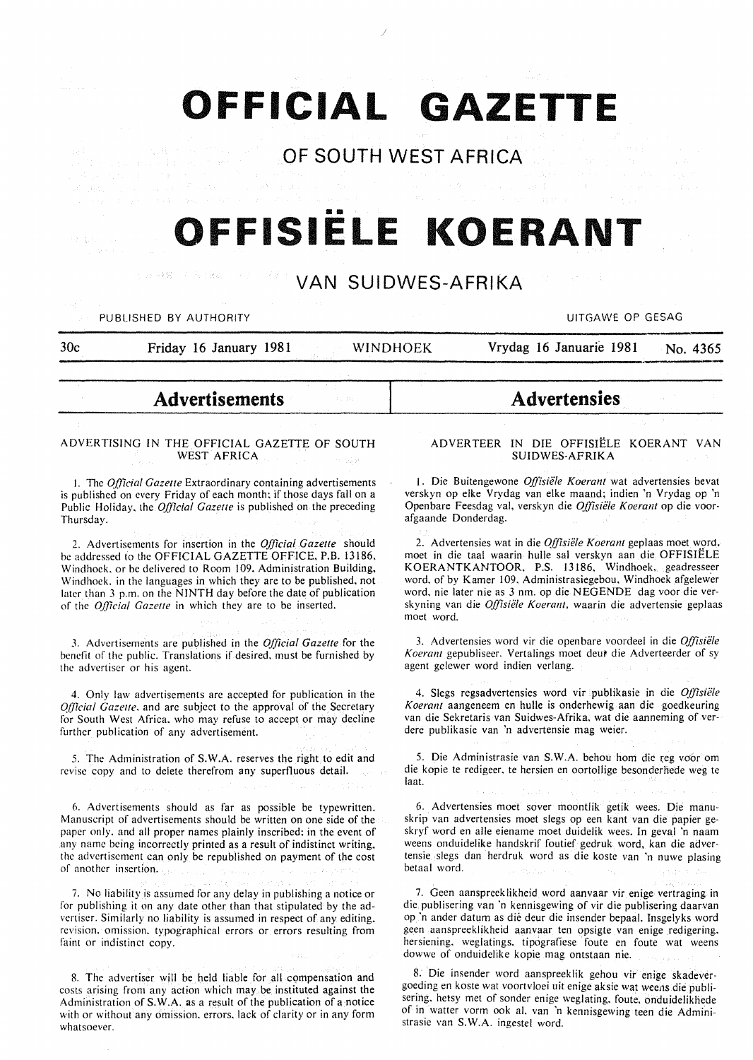# **OFFICIAL GAZETTE**

### **OF SOUTH WEST AFRICA**

# •• **OFFISIELE KOERANT**

### **VAN SUIDWES-AFRIKA**

PUBLISHED BY AUTHORITY **AUTHORITY CONTACT CONTACT CONTACT CONTACT CONTACT CONTACT CONTACT CONTACT CONTACT CONTACT CONTACT CONTACT CONTACT CONTACT CONTACT CONTACT CONTACT CONTACT CONTACT CONTACT CONTACT CONTACT CONTACT CONT** 

Provident of Control March 2013.

| 30 <sub>c</sub> | Friday 16 January 1981 | WINDHOEK | Vrydag 16 Januarie 1981 | No. 4365 |
|-----------------|------------------------|----------|-------------------------|----------|
|                 |                        |          |                         |          |

## **Advertisements**

#### ADVERTISING IN THE OFFICIAL GAZETTE OF SOUTH WEST AFRICA

I. The *Official Gazelle* Extraordinary containing advertisements is published on every Friday of each month; if those days fall on a Public Holiday. the *Official Gazette* is published on the preceding Thursday.

2. Advertisements for insertion in the *Official Gazette* should be addressed to the OFFICIAL GAZETTE OFFICE, P.B. 13186. Windhoek. or be delivered to Room 109. Administration Building, Windhoek. in the languages in which they are to be published, not later than 3 p.m. on the NINTH day before the date of publication of the *Q(jicia/ Gazelle* in which they are to be inserted.

3. Advertisements are published in the *Official Gazette* for the benefit of the public. Translations if desired, must be furnished by the advertiser or his agent.

4. Only law advertisements are accepted for publication in the *Q(jicial Gazelle.* and are subject to the approval of the Secretary for South West Africa. who may refuse to accept or may decline further publication of any advertisement.

5. The Administration of S.W.A. reserves the right to edit and revise copy and to delete therefrom any superfluous detail.

6. Advertisements should as far as possible be typewritten. Manuscript of advertisements should be written on one side of the paper only. and all proper names plainly inscribed: in the event of any name being incorrectly printed as a result of indistinct writing. the advertisement can only be republished on payment of the cost of another insertion.

7. No liability is assumed for any delay in publishing a notice or for publishing it on any date other than that stipulated by the advertiser. Similarly no liability is assumed in respect of any editing. revision. omission. typographical errors or errors resulting from faint or indistinct copy.

8. The advertiser will be held liable for all compensation and costs arising from any action which may be instituted against the Administration of S. W.A. as a result of the publication of a notice with or without any omission. errors. lack of clarity or in any form whatsoever.

#### ADVERTEER IN DIE OFFISIELE KOERANT VAN SUIDWES-AFRIKA

**Advertensies** 

1. Die Buitengewone *Offisiele Koerant* wat advertensies bevat verskyn op elke Vrydag van elke maand; indien 'n Vrydag op 'n Openbare Feesdag val. verskyn die *Offisiele Koerant* op die voorafgaande Donderdag.

2. Advertensies wat in die *Offisiele Koerant* geplaas moet word. moet in die taal waarin hulle sal verskyn aan die OFFISIELE KOERANTKANTOOR, P.S. 13186, Windhoek. geadresseer word. of by Kamer 109, Administrasiegebou, Windhoek afgelewer word. nie later nie as 3 nm. op die NEGENDE dag voor die verskyning van die *Offisiele Koerant,* waarin die advertensie geplaas moet word.

3. Advertensies word vir die openbare voordeel in die *Offisie/e*  Koerant gepubliseer. Vertalings moet deur die Adverteerder of sy agent gelewer word indien verlang.

4. Slegs regsadvertensies word vir publikasie in die *Offisie/e Koeranl* aangeneem en hulle is onderhewig aan die goedkeuring van die Sekretaris van Suidwes-Afrika, wat die aanneming of verdere publikasie van 'n advertensie mag weier.

5. Die Administrasie van S.W.A. behou hom die (eg vo6r om die kopie te redigeer, te hersien en oortollige besonderfiede weg te laat.

6. Advertensies moet saver moontlik getik wees. Die manuskrip van advertensies moet slegs op een kant van die papier geskryf word en aile eiename moet duidelik wees. In geval 'n naam weens onduidelike handskrif foutief gedruk word, kan die advertensie slegs dan herdruk word as die koste van 'n nuwe plasing betaal word.

7. Geen aanspreeklikheid word aanvaar vir enige vertraging in die publisering van 'n kennisgewing of vir die publisering daarvan op ·n ander datum as die deur die insender bepaal. Insgelyks word geen aanspreeklikheid aanvaar ten opsigte van enige redigering. hersiening. weglatings. tipogratiese foute en foute wat weens dowwe of onduidelike kopie mag ontstaan nie.

8. Die insender word aanspreeklik gehou vir enige skadevergoeding en koste wat voortvloei uit enige aksie wat weens die publisering. hetsy met of sonder enige weglating, foute. onduidelikliede of in watter vorm ook al. van 'n kennisgewing teen die Administrasie van S.W.A. ingestel word.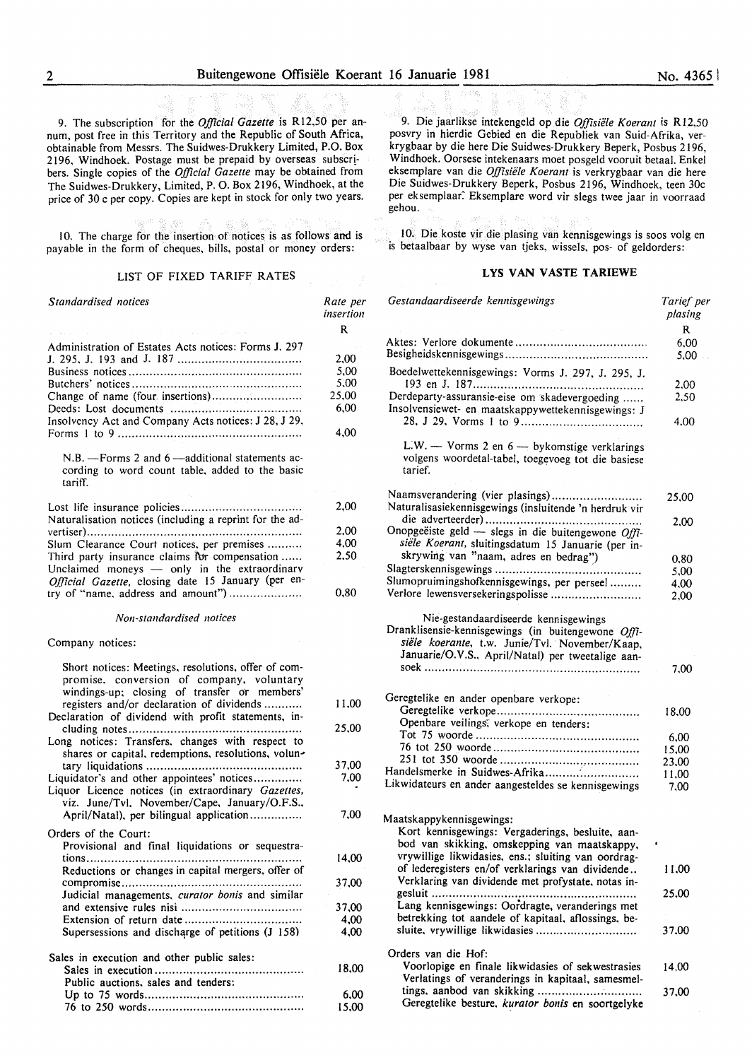9. The subscription for the *Official Gazette* is R12,50 per annum, post free in this Territory and the Republic of South Africa, obtainable from Messrs. The Suidwes-Drukkery Limited, P.O. Box 2196, Windhoek. Postage must be prepaid by overseas subscr! bers. Single copies of the *Official Gazette* may be obtained from The Suidwes-Drukkery, Limited, P. 0. Box 2196, Windhoek, at the price of 30 c per copy. Copies are kept in stock for only two years.

10. The charge for the insertion of notices is as follows and is payable in the form of cheques, bills, postal or money orders:

#### LIST OF FIXED TARIFF RATES

| Standardised notices                                                                                                                             | Rate per<br>insertion |
|--------------------------------------------------------------------------------------------------------------------------------------------------|-----------------------|
|                                                                                                                                                  | R                     |
| Administration of Estates Acts notices: Forms J. 297                                                                                             |                       |
|                                                                                                                                                  | 2,00                  |
|                                                                                                                                                  | 5,00                  |
|                                                                                                                                                  | 5,00                  |
|                                                                                                                                                  | 25,00                 |
|                                                                                                                                                  | 6,00                  |
| Insolvency Act and Company Acts notices: J 28, J 29,                                                                                             |                       |
|                                                                                                                                                  | 4,00                  |
| N.B. - Forms 2 and 6 - additional statements ac-<br>cording to word count table, added to the basic<br>tariff.                                   |                       |
|                                                                                                                                                  |                       |
|                                                                                                                                                  | 2,00                  |
| Naturalisation notices (including a reprint for the ad-                                                                                          |                       |
|                                                                                                                                                  | 2,00                  |
| Slum Clearance Court notices, per premises                                                                                                       | 4,00                  |
| Third party insurance claims for compensation                                                                                                    | 2.50                  |
| Unclaimed moneys - only in the extraordinary<br>Official Gazette, closing date 15 January (per en-                                               |                       |
| try of "name, address and amount")                                                                                                               | 0,80                  |
| Non-standardised notices                                                                                                                         |                       |
| Company notices:                                                                                                                                 |                       |
|                                                                                                                                                  |                       |
| Short notices: Meetings, resolutions, offer of com-<br>promise, conversion of company, voluntary<br>windings-up; closing of transfer or members' |                       |
| registers and/or declaration of dividends<br>Declaration of dividend with profit statements, in-                                                 | 11,00                 |
|                                                                                                                                                  | 25,00                 |
| Long notices: Transfers, changes with respect to                                                                                                 |                       |
| shares or capital, redemptions, resolutions, volun-                                                                                              |                       |
|                                                                                                                                                  | 37,00                 |
| Liquidator's and other appointees' notices                                                                                                       | 7,00                  |
| Liquor Licence notices (in extraordinary Gazettes,                                                                                               |                       |
| viz. June/Tvl. November/Cape. January/O.F.S.,                                                                                                    |                       |
| April/Natal), per bilingual application                                                                                                          | 7,00                  |
| Orders of the Court:                                                                                                                             |                       |
| Provisional and final liquidations or sequestra-                                                                                                 |                       |
|                                                                                                                                                  | 14.00                 |
| Reductions or changes in capital mergers, offer of                                                                                               |                       |
|                                                                                                                                                  | 37,00                 |
| Judicial managements, curator bonis and similar                                                                                                  |                       |
|                                                                                                                                                  | 37,00                 |
|                                                                                                                                                  | 4,00                  |
| Supersessions and discharge of petitions (J 158)                                                                                                 | 4,00                  |
| Sales in execution and other public sales:                                                                                                       |                       |
|                                                                                                                                                  | 18,00                 |
| Public auctions, sales and tenders:                                                                                                              |                       |
|                                                                                                                                                  | 6,00                  |
|                                                                                                                                                  | 15,00                 |

9. Die jaarlikse intekengeld op die *0./fisiele Koerant* is RI2.50 posvry in hierdie Gebied en die Republiek van Suid-Afrika, verkrygbaar by die here Die Suidwes-Drukkery Beperk, Posbus 2I96, Windhoek. Oorsese intekenaars moet posgeld vooruit betaal. Enkel eksemplare van die *O.ffisiele Koerant* is verkrygbaar van die here Die Suidwes-Drukkery Beperk, Posbus 2I96, Windhoek, teen 30c per eksemplaar: Eksemplare word vir slegs twee jaar in voorraad gehou.

10. Die koste vir die plasing van kennisgewings is soos volg en is betaalbaar by wyse van tjeks, wissels, pos- of geldorders:

#### LYS VAN VASTE TARIEWE

| Gestandaardiseerde kennisgewings                                                                                                                                                                  | Tarief per<br>plasing |  |
|---------------------------------------------------------------------------------------------------------------------------------------------------------------------------------------------------|-----------------------|--|
|                                                                                                                                                                                                   | R                     |  |
|                                                                                                                                                                                                   | 6,00                  |  |
|                                                                                                                                                                                                   | 5,00                  |  |
| Boedelwettekennisgewings: Vorms J. 297, J. 295, J.                                                                                                                                                |                       |  |
|                                                                                                                                                                                                   | 2.00                  |  |
| Derdeparty-assuransie-eise om skadevergoeding<br>Insolvensiewet- en maatskappywettekennisgewings: J                                                                                               | 2,50                  |  |
|                                                                                                                                                                                                   | 4,00                  |  |
|                                                                                                                                                                                                   |                       |  |
| L.W. - Vorms 2 en $6$ - by komstige verklarings<br>volgens woordetal-tabel, toegevoeg tot die basiese<br>tarief.                                                                                  |                       |  |
| Naamsverandering (vier plasings)                                                                                                                                                                  |                       |  |
| Naturalisasiekennisgewings (insluitende 'n herdruk vir                                                                                                                                            | 25,00                 |  |
|                                                                                                                                                                                                   | 2,00                  |  |
| Onopgeëiste geld - slegs in die buitengewone Offi-                                                                                                                                                |                       |  |
| siële Koerant, sluitingsdatum 15 Januarie (per in-                                                                                                                                                |                       |  |
| skrywing van "naam, adres en bedrag")                                                                                                                                                             | 0,80                  |  |
|                                                                                                                                                                                                   | 5,00                  |  |
| Slumopruimingshofkennisgewings, per perseel                                                                                                                                                       | 4,00                  |  |
| Verlore lewensversekeringspolisse                                                                                                                                                                 | 2,00                  |  |
| Nie-gestandaardiseerde kennisgewings<br>Dranklisensie-kennisgewings (in buitengewone Offi-<br>siële koerante, t.w. Junie/Tvl. November/Kaap,<br>Januarie/O.V.S., April/Natal) per tweetalige aan- |                       |  |
|                                                                                                                                                                                                   | 7.00                  |  |
|                                                                                                                                                                                                   |                       |  |
| Geregtelike en ander openbare verkope:                                                                                                                                                            |                       |  |
|                                                                                                                                                                                                   | 18,00                 |  |
| Openbare veilings, verkope en tenders:                                                                                                                                                            |                       |  |
|                                                                                                                                                                                                   | 6,00                  |  |
|                                                                                                                                                                                                   | 15,00                 |  |
|                                                                                                                                                                                                   | 23,00                 |  |
| Handelsmerke in Suidwes-Afrika                                                                                                                                                                    | 11,00                 |  |
| Likwidateurs en ander aangesteldes se kennisgewings                                                                                                                                               | 7,00                  |  |
| Maatskappykennisgewings:<br>Kort kennisgewings: Vergaderings, besluite, aan-<br>bod van skikking, omskepping van maatskappy,<br>vrywillige likwidasies, ens.; sluiting van oordrag-               |                       |  |
| of lederegisters en/of verklarings van dividende<br>Verklaring van dividende met profystate, notas in-                                                                                            | 11.00                 |  |
|                                                                                                                                                                                                   | 25,00                 |  |
| Lang kennisgewings: Oordragte, veranderings met                                                                                                                                                   |                       |  |
| betrekking tot aandele of kapitaal, aflossings, be-                                                                                                                                               |                       |  |
| sluite, vrywillige likwidasies                                                                                                                                                                    | 37.00                 |  |
|                                                                                                                                                                                                   |                       |  |
| Orders van die Hof:                                                                                                                                                                               |                       |  |
| Voorlopige en finale likwidasies of sekwestrasies                                                                                                                                                 | 14.00                 |  |
| Verlatings of veranderings in kapitaal, samesmel-<br>tings, aanbod van skikking                                                                                                                   |                       |  |
| Geregtelike besture, kurator bonis en soortgelyke                                                                                                                                                 | 37.00                 |  |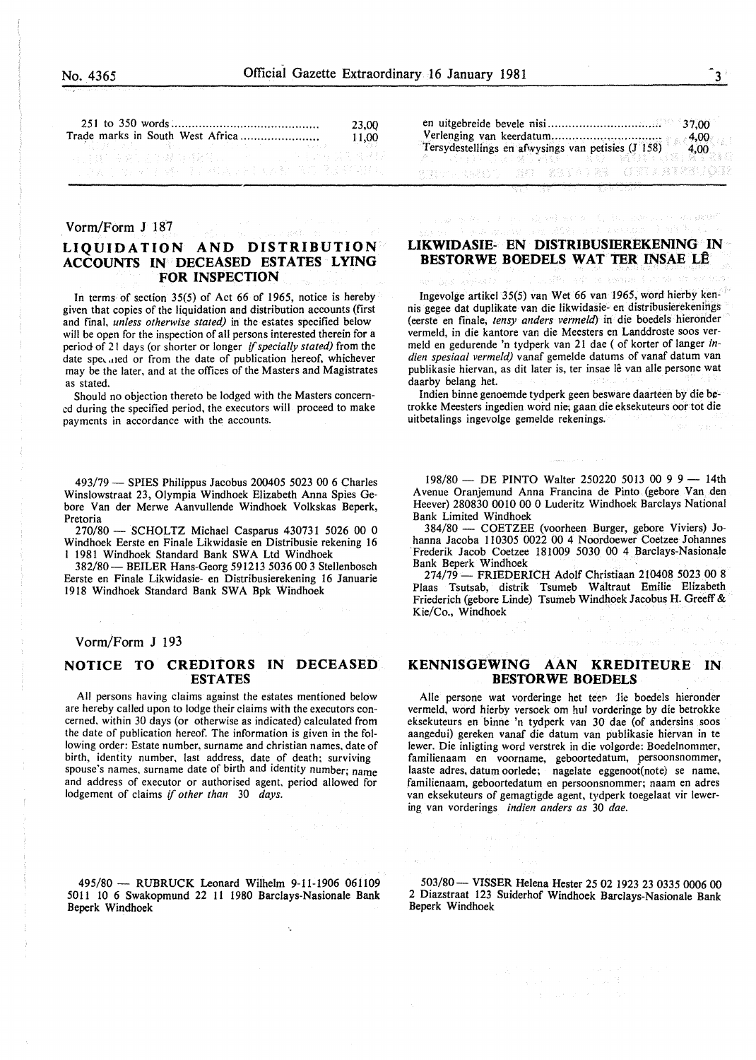|  | 23.00                                                                                                         |           |
|--|---------------------------------------------------------------------------------------------------------------|-----------|
|  |                                                                                                               | 11.00     |
|  | 4 : 100 : 100 : 100 : 100 : 100 : 100 : 100 : 100 : 100 : 100 : 100 : 100 : 100 : 100 : 100 : 100 : 100 : 100 | ಾಗಿ ಸಾಹಿತ |
|  |                                                                                                               |           |
|  | 计原因的 化四对苯磺酸 医后神经炎 医抗菌素酸 草原 喷涂 经常转让                                                                            |           |

#### Vorm/Form J 187

#### **LIQUIDATION AND DISTRIBUTION ACCOUNTS IN DECEASED ESTATES LYING FOR INSPECTION**

In terms of section 35(5) of Act 66 of 1965, notice is hereby given that copies of the liquidation and distribution accounts (first and final, *unless otherwise stated)* in the estates specified below will be open for the inspection of all persons interested therein for a period of 21 days (or shorter or longer *{{specially stated)* from the date speculed or from the date of publication hereof, whichever may be the later, and at the offices of the Masters and Magistrates as stated.

Should no objection thereto be lodged with the Masters concerned during the specified period, the executors will proceed to make payments in accordance with the accounts.

493/79- SPIES Philippus Jacobus 200405 5023 00 6 Charles Winslowstraat 23, Olympia Windhoek Elizabeth Anna Spies Gebore Van der Merwe Aanvullende Windhoek Volkskas Beperk, Pretoria

270/80- SCHOLTZ Michael Casparus 430731 5026 00 0 Windhoek Eerste en Finale Likwidasie en Distribusie rekening 16 l 1981 Windhoek Standard Bank SWA Ltd Windhoek

382/80- BEILER Hans-Georg 591213 5036 00 3 Stellenbosch Eerste en Finale Likwidasie- en Distribusierekening 16 Januarie 1918 Windhoek Standard Bank SWA Bpk Windhoek

#### Vorm/Form J 193

#### **NOTICE TO CREDITORS IN DECEASED ESTATES**

All persons having claims against the estates mentioned below are hereby called upon to lodge their claims with the executors concerned, within 30 days (or otherwise as indicated) calculated from the date of publication hereof. The information is given in the following order: Estate number, surname and christian names. date of birth, identity number. last address, date of death; surviving spouse's names, surname date of birth and identity number; name and address of executor or authorised agent, period allowed for lodgement of claims if *other than* 30 *days.* 

495/80 - RUBRUCK Leonard Wilhelm 9-11-1906 061109 50ll lO 6 Swakopmund 22 11 1980 Barclays-Nasionale Bank Beperk Windhoek

|  | resta dalla serie dell'alle dell'Intelletti (STS |  |
|--|--------------------------------------------------|--|

#### **LIKWIDASIE- EN DISTRIBUSIEREKENING IN BESTORWE BOEDELS WAT TER INSAE LÊ**

Ingevolge artikel 35(5) van Wet 66 van 1965, word hierby kennis gegee dat duplikate van die Iikwidasie- en distribusierekenings (eerste en finale, *tensy anders vermeld)* in die boedels hieronder vermeld, in die kantore van die Meesters en Landdroste soos vermeld en gedurende 'n tydperk van 21 dae ( of korter of Ianger *indien spesiaal vermeld)* vanaf gemelde datums of vanaf datum van publikasie hiervan, as dit later is, ter insae lê van alle persone wat daarby belang het.

Indien binne genoemde tydperk geen besware daarteen by die betrokke Meesters ingedien word nie; gaan die eksekuteurs oor tot die uitbetalings ingevolge gemelde rekenings.

198/80 - DE PINTO Walter 250220 5013 00 9 9 - 14th Avenue Oranjemund Anna Francina de Pinto (gebore Van den Heever) 280830 0010 00 0 Luderitz Windhoek Barclays National Bank Limited Windhoek

384/80 - COETZEE (voorheen Burger, gebore Viviers) Johanna Jacoba 110305 0022 00 4 Noordoewer Coetzee Johannes Frederik Jacob Coetzee 181009 5030 00 4 Barclays-Nasionale Bank Beperk Windhoek

274/79- FRIEDERICH Adolf Christiaan 210408 5023 00 8 Plaas Tsutsab, distrik Tsumeb Waltraut Emilie Elizabeth Friederich (gebore Linde) Tsumeb Windhoek Jacobus H. Greeff & Kie/Co., Windhoek

#### **KENNISGEWING AAN KREDITEURE IN BESTORWE BOEDELS**

Alle persone wat vorderinge het teen lie boedels hieronder vermeld, word hierby versoek om hul vorderinge by die betrokke eksekuteurs en binne 'n tydperk van 30 dae (of andersins soos aangedui) gereken vanaf die datum van publikasie hiervan in te !ewer. Die inligting word verstrek in die volgorde: Boedelnommer, familienaam en voorname, geboortedatum, persoonsnommer, laaste adres, datum oorlede; nagelate eggenoot(note} se name, familienaam, geboortedatum en persoonsnommer; naam en adres van eksekuteurs of gemagtigde agent, tydperk toegelaat vir lewering van vorderings *indien anders as* 30 *dae.* 

503/80- VISSER Helena Hester 25 02 1923 23 0335 0006 00 2 Diazstraat 123 Suiderhof Windhoek Barclays-Nasionale Bank Beperk Windhoek

8. Labore